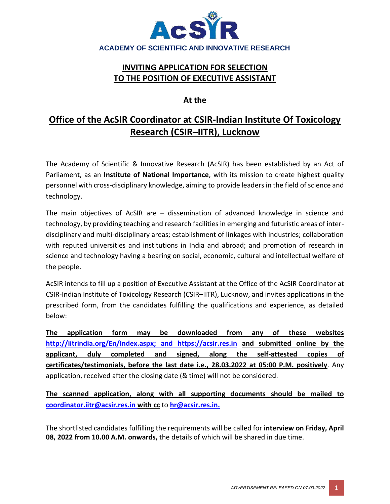

## **INVITING APPLICATION FOR SELECTION TO THE POSITION OF EXECUTIVE ASSISTANT**

### **At the**

# **Office of the AcSIR Coordinator at CSIR-Indian Institute Of Toxicology Research (CSIR–IITR), Lucknow**

The Academy of Scientific & Innovative Research (AcSIR) has been established by an Act of Parliament, as an **Institute of National Importance**, with its mission to create highest quality personnel with cross-disciplinary knowledge, aiming to provide leaders in the field of science and technology.

The main objectives of AcSIR are – dissemination of advanced knowledge in science and technology, by providing teaching and research facilities in emerging and futuristic areas of interdisciplinary and multi-disciplinary areas; establishment of linkages with industries; collaboration with reputed universities and institutions in India and abroad; and promotion of research in science and technology having a bearing on social, economic, cultural and intellectual welfare of the people.

AcSIR intends to fill up a position of Executive Assistant at the Office of the AcSIR Coordinator at CSIR-Indian Institute of Toxicology Research (CSIR–IITR), Lucknow, and invites applications in the prescribed form, from the candidates fulfilling the qualifications and experience, as detailed below:

**The application form may be downloaded from any of these website[s](http://iitrindia.org/En/Index.aspx;%20and%20https:/acsir.res.in) [http://iitrindia.org/En/Index.aspx;](http://iitrindia.org/En/Index.aspx;%20and%20https:/acsir.res.in) and https://acsir.res.in and submitted online by the applicant, duly completed and signed, along the self-attested copies of certificates/testimonials, before the last date i.e., 28.03.2022 at 05:00 P.M. positively**. Any application, received after the closing date (& time) will not be considered.

**The scanned application, along with all supporting documents should be mailed to [coordinator.iitr@acsir.res.in](mailto:coordinator.iitr@acsir.res.in) with cc** to **hr@acsir.res.in.**

The shortlisted candidates fulfilling the requirements will be called for **interview on Friday, April 08, 2022 from 10.00 A.M. onwards,** the details of which will be shared in due time.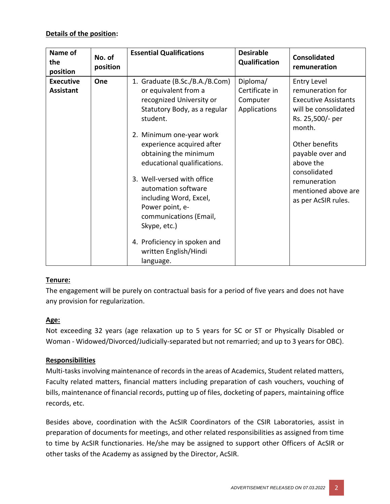#### **Details of the position:**

| Name of<br>the<br>position           | No. of<br>position | <b>Essential Qualifications</b>                                                                                                                                                                                                                                                                                                                                                                                                                                   | <b>Desirable</b><br>Qualification                      | <b>Consolidated</b><br>remuneration                                                                                                                                                                                                                          |
|--------------------------------------|--------------------|-------------------------------------------------------------------------------------------------------------------------------------------------------------------------------------------------------------------------------------------------------------------------------------------------------------------------------------------------------------------------------------------------------------------------------------------------------------------|--------------------------------------------------------|--------------------------------------------------------------------------------------------------------------------------------------------------------------------------------------------------------------------------------------------------------------|
| <b>Executive</b><br><b>Assistant</b> | One                | 1. Graduate (B.Sc./B.A./B.Com)<br>or equivalent from a<br>recognized University or<br>Statutory Body, as a regular<br>student.<br>2. Minimum one-year work<br>experience acquired after<br>obtaining the minimum<br>educational qualifications.<br>3. Well-versed with office<br>automation software<br>including Word, Excel,<br>Power point, e-<br>communications (Email,<br>Skype, etc.)<br>4. Proficiency in spoken and<br>written English/Hindi<br>language. | Diploma/<br>Certificate in<br>Computer<br>Applications | <b>Entry Level</b><br>remuneration for<br><b>Executive Assistants</b><br>will be consolidated<br>Rs. 25,500/- per<br>month.<br>Other benefits<br>payable over and<br>above the<br>consolidated<br>remuneration<br>mentioned above are<br>as per AcSIR rules. |

#### **Tenure:**

The engagement will be purely on contractual basis for a period of five years and does not have any provision for regularization.

#### **Age:**

Not exceeding 32 years (age relaxation up to 5 years for SC or ST or Physically Disabled or Woman - Widowed/Divorced/Judicially-separated but not remarried; and up to 3 years for OBC).

#### **Responsibilities**

Multi-tasks involving maintenance of records in the areas of Academics, Student related matters, Faculty related matters, financial matters including preparation of cash vouchers, vouching of bills, maintenance of financial records, putting up of files, docketing of papers, maintaining office records, etc.

Besides above, coordination with the AcSIR Coordinators of the CSIR Laboratories, assist in preparation of documents for meetings, and other related responsibilities as assigned from time to time by AcSIR functionaries. He/she may be assigned to support other Officers of AcSIR or other tasks of the Academy as assigned by the Director, AcSIR.